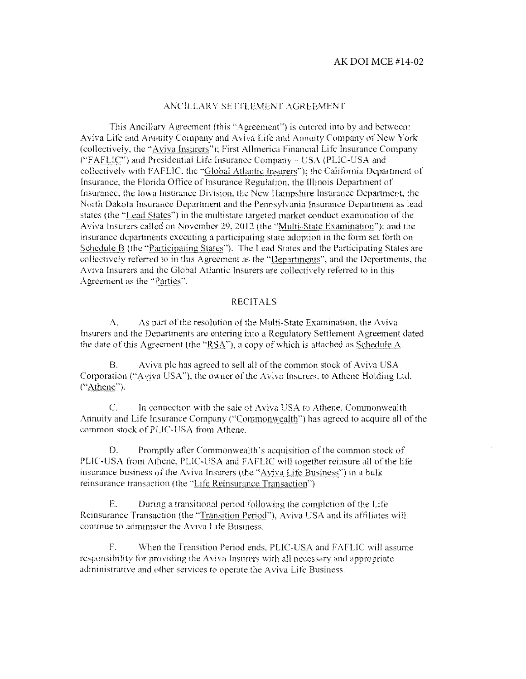#### ANCILLARY SETTLEMENT AGREEMENT

This Ancillary Agreement (this "Agreement") is entered into by and between: Aviva Life and Annuity Company and Aviva Life and Annuity Company of New York (collectivdy, the "Aviva Insurers"): First Allmerica Financial Life Insurance Company ("FAFLIC") and Presidential Life Insurance Company - USA (PLIC-USA and collectively with FAFLIC. the ·'Global Atlantic Insurers"): the California Department of Insurance, the Florida Office of Insurance Regulation. the Illinois Department of Insurance. the Iowa Insurance Division. the New Hampshire Insurance Department. the North Dakota Insurance Department and the Pennsylvania Insurance Department as lead states (the "Lead States") in the multistate targeted market conduct examination of the Aviva Insurers called on November 29, 2012 (the "Multi-State Examination"); and the insurance departments executing a participating state adoption in the form set forth on Schedule B (the "Participating States"). The Lead States and the Participating States are collectively referred to in this Agreement as the "Departments", and the Departments, the Aviva Insurers and the Global Atlantic Insurers are collectively referred to in this Agreement as the "Parties".

#### RECITALS

A. As part of the resolution of the Multi-State Examination. the Aviva Insurers and the Departments arc entering into a Rcgnlatory Settlement Agreement dated the date of this Agreement (the " $\overline{RSA}$ "), a copy of which is attached as Schedule A.

B. Aviva plc has agreed to sell all of the common stock of Aviva USA Corporation ("Aviva USA"), the owner of the Aviva Insurers, to Athene Holding Ltd. ("Athene").

C. Jn connection with the sale of Aviva USA to Athene. Commonwealth Annuity and Life Insurance Company ("Commonwealth") has agreed to acquire all of the common stock of PUC-USA from Athene.

D. Promptly after Commonwealth's acquisition of the common stock of PLIC-USA from Athene. PLIC-USA and FAFLIC will together reinsure all of the life insnrance business of the Aviva Insurers (the" Aviva Life Business") in a bulk reinsurance transaction (the "Life Reinsurance Transaction").

E. During a transitional period following the compietion of the Life Reinsurance Transaction (the "Transition Period"). Aviva USA and its affiliates will continue to administer the Aviva Life Business.

F. When the Transition Period ends. PUC-USA and FAFLIC wiil assume responsibility for providing the Aviva Insurers with all necessary and appropriate administrative and other services to operate the Aviva Life Business.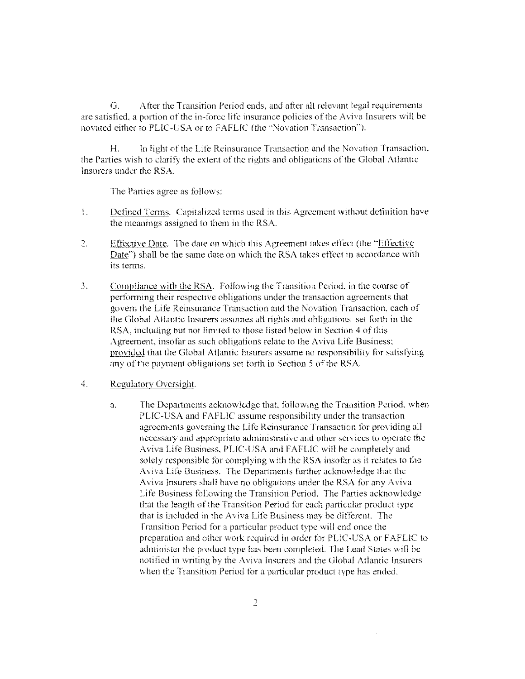G. After the Transition Period ends, and after all relevant legal requirements are satisfied, a portion of the in-force life insurance policies of the Aviva Insurers will be novated either to PLIC-USA or to FAFLIC (the "Novation Transaction").

1-1. In light of the Lifo Reinsurance Transaction and the Novation Transaction. the Parties wish to clarify the extent of the rights and obligations of the Global Atlantic Insurers under the RSA.

The Parties agree as follows:

- I. Defined Terms. Capitalized terms used in this Agreement without definition have the meanings assigned to them in the RSA.
- Effective Date. The date on which this Agreement takes effect (the "Effective  $2.$ Date") shall be the same date on which the RSA takes cffoct in accordance with its terms.
- 3. Compliance with the RSA. Eolfowing the Transition Period. in the course of performing their respective obligations under the transaction agreements that govern the Life Reinsurance Transaction and the Novation Transaction. each of the Glohal Atlantic Insurers assumes all rights and obligations set forth in the RSA, including but not limited to those listed below in Section 4 of this Agreement. insofar as such obligations relate to the Aviva Life Business: provided that the Global Atlamie Insurers assume no responsibility for satisfying any of the payment obligations set forth in Section 5 of the RSA.

#### 4. Regulatory Oversight.

a. The Departments acknowledge that. following the Transition Period. when PUC-USA and FAFUC assume responsibility under the transaction agreements governing the Life Reinsurance Transaction for providing all necessary and appropriate administrative and other services to operate the Aviva Life Business. PLIC-USA and FAFUC will be completely and solely responsible for complying with the RSA insofar as it relates to the Aviva Life Business. The Departments further acknowledge that the Aviva Insurers shall have no obligations under the RSA for any Aviva Life Business following the Transition Period. The Parties acknowledge that the length of the Transition Period for each particular product type that is included in the Aviva Life Business may be different. The Transition Period for a particular product type will end once the preparation and other work required in order for PUC-USA or FAFUC to administer the product type has been completed. The Lead States wiII be notified in writing by the Aviva Insurers and the Global Atlantic Insurers when the Transition Period for a particular product type has ended.

 $\bar{\bar{z}}$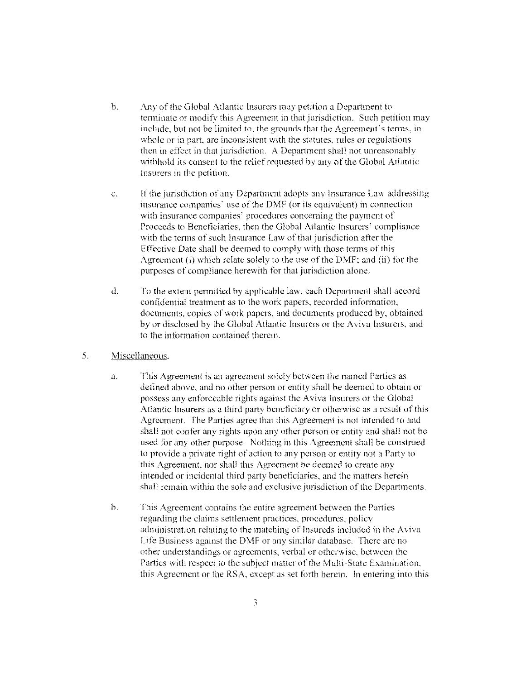- b. Any of the Global Arlantic Insurers may petition a Department to terminate or modify this Agreement in that jurisdiction. Such petition may include. but not be limited to. the grounds that the Agreement's terms. in whole or in part. are inconsistent with the statutes. rules or regulations then in effect in that jurisdiction. A Department shall not unreasonably withhold its consent to the relief requested by any of the Global Atlantic Insurers in the petition,
- c. If the jurisdiction of any Department adopts any Insurance Law addressing insurance companies' use of the DMF (or its equivalent) in connection with insurance companies' procedures concerning the payment of Proceeds to Beneficiaries, then the Global Atlantic Insurers' compliance with the terms of such Insurance Law of that jurisdiction after the Effective Date shall be deemed to comply with those terms of this Agreement (i) which relate solely to the use of the DMF: and (ii) for the purposes of compliance herewith for that jurisdiction alone.
- d. To the extent permitted by applicable law, each Department shall accord confidential treatment as to the work papers, recorded infonnation, documents, copies of work papers. and documents produced by, obtained by or disclosed by the Global Atlantic Insurers or the A viva Insurers. and to the information contained therein.
- 5. Miscellaneous.
	- a. This Agreement is an agreement solely between the named Parties as defined above, and no other person or entity shall be deemed to obtain or possess any enforceable rights against the Aviva Insurers or the Global Atlantic Insurers as a third party beneficiary or otherwise as a result of this Agreement. The Parties agree that this Agreement is not intended to and shall not confer any rights upon any other person or entity and shall not be used for any other purpose. Nothing in this Agreement shall be construed to provide a private right of action to any person or entity not a Party to this Agreement, nor shall this Agreement he deemed to create any intended or incidental third party beneficiaries, and the matters herein shall remain within the sole and exclusive jurisdiction of the Departments.
	- b. This Agreement contains the entire agreement between the Parties regarding the claims settlement practices, procedures. policy administration relating to the matching of Insureds included in the Aviva Life Business against the DMF or any similar database. There are no other understandings or agreements, verbal or otherwise, between the Parties with respect to the subject matter of the Multi-State Examination. this Agreement or the RSA, except as set forth herein. In entering into this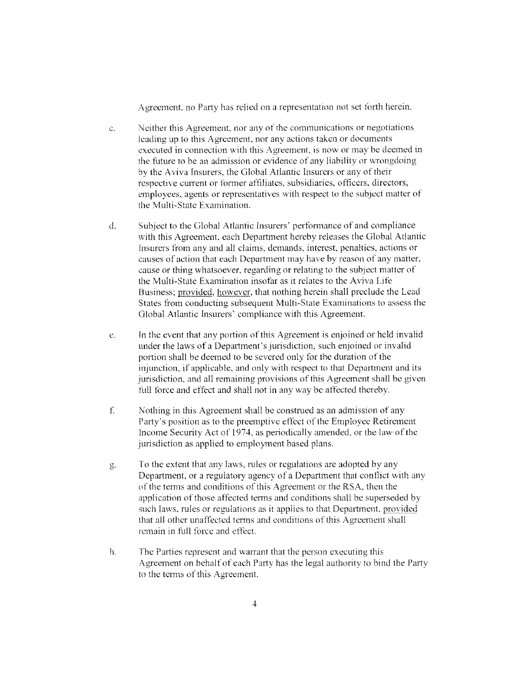Agreement, no Party has relied on a representation not set forth herein.

- e. Neither this Agreement, nor any of the communications or negotiations leading up to this Agreement, nor any actions taken or documents executed in connection with this Agreement, is now or may be deemed in the future to be an admission or evidence of any liability or wrongdoing by the Aviva Insurers. the Global Atlantic Insurers or any of their respective current or former affiliates, subsidiaries, officers. directors, employees, agents or representatives with respect to the subject matter of the Multi-State Examination.
- d. Subject to the Global Atlantic lnsurers' performance of and compliance with this Agreement, each Department hereby releases the Global Atlantic Insurers from any and all claims, demands, interest, penalties, actions or causes of action that each Department may have by reason of any matter. cause or thing whatsoever, regarding or relating to the subject matter of the Multi-State Examination insofar as it relates to the Aviva Life Business; provided, however, that nothing herein shall preclude the Lead States from conducting subsequent Multi-State Examinations to assess the Global Atlantic Insurers' compliance with this Agreement.
- e. fn the event that any portion of this Agreement is enjoined or held invalid under the laws of a Department's jurisdiction, such enjoined or invalid portion shall be deemed to be severed only for the duration of the injunction, if applicable, and only with respect ro that Department and its jurisdiction, and all remaining provisions of this Agreement shall be given full force and effect and shall not in any way be affected thereby.
- f Nothing in this Agreement shall be construed as an admission of any Party's position as to the preemptive effect of the Employee Retirement Income Security Act of 1974, as periodically amended, or the law of the jurisdiction as applied to employment based plans.
- g. To the extent that any laws, rules or regulations are adopted by any Department, or a regulatory agency of a Department that conflict with any of the terms and conditions of this Agreement or the RSA, then the application of those affected terms and conditions shall be superseded by such laws, rules or regulations as it applies to that Department, provided that all other unaffected terms and conditions of this Agreement shall remain in full force and effect.
- h. The Parties represent and warrant that the person executing this Agreement on behalf of each Party has the legal authority to bind the Party to the terms of this Agreement.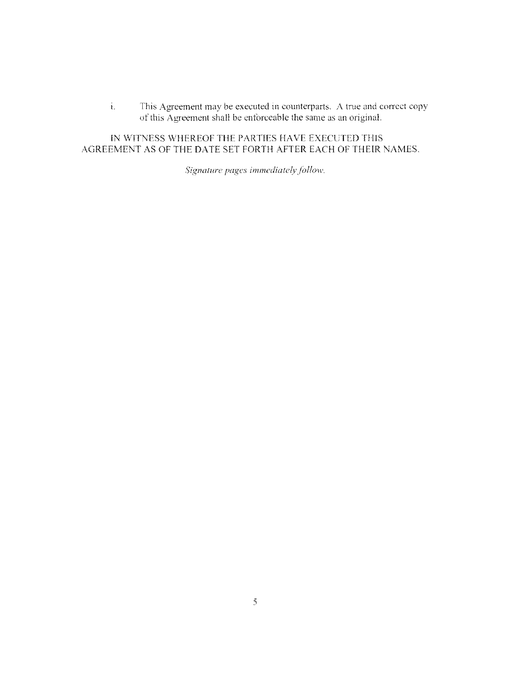i. This Agreement may be executed in counterparts. A true and correct copy nf this Agreement shall be enforceable the same as an original.

fN WITNESS WHEREOF THE PARTIES HAVE EXECUTED THIS AGREEMENT AS OF THE DATE SET FORTH AFTER EACH OF THEIR NAMES.

Signature pages immediately follow.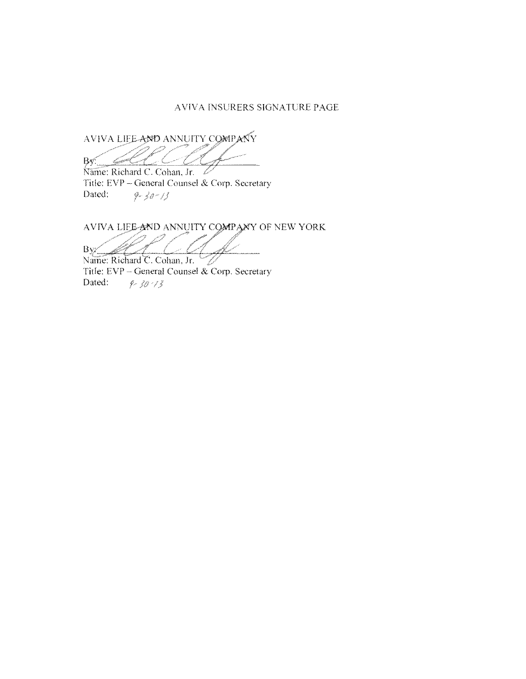#### AVIVA INSCRERS SIGNATLRE PAGE

AVIVA LIEE AND ANNUITY COMPANY Bv.

Name: Richard C. Cohan, Jr. B. Title: EVP - General Counsel & Corp. Secretary Dated:  $9 - 30 - 13$ 

AVIVA LIEE-AND ANNUITY COMPANY OF NEW YORK

 $\overline{B}V$ 

Name: Richard C. Cohan, Jr. ستنجير Title:  $EVP - General$  Counsel & Corp. Secretary Dated:  $9 - 30 - 13$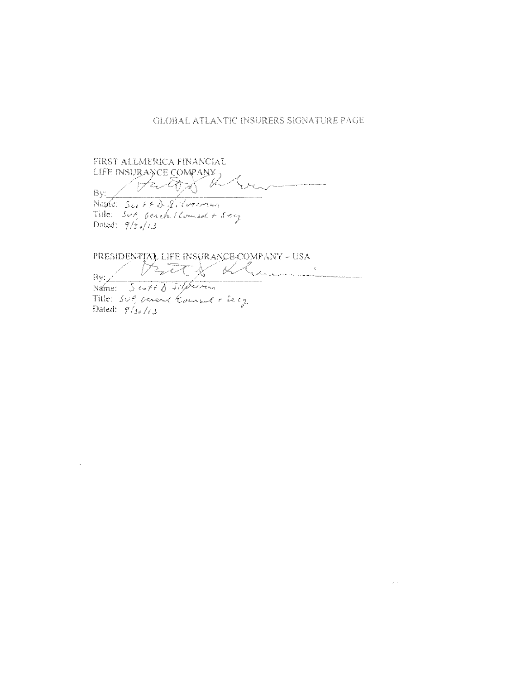#### **GLOBAL ATLANTIC INSURERS SIGNATURE PAGE**

FIRST ALLMERICA FINANCIAL LIFE INSURANCE COMPANY C<br>Zun By: Name: Sco + + D. S. Verrier Title: 5vp Geneta / Counsel + 5eg

PRESIDENTIAL LIFE INSURANCE COMPANY - USA  $\label{eq:3.1} \frac{1}{\sqrt{2}}\left( \frac{1}{\sqrt{2}}\right) \left( \frac{1}{\sqrt{2}}\right) \left( \frac{1}{\sqrt{2}}\right) \left( \frac{1}{\sqrt{2}}\right) \left( \frac{1}{\sqrt{2}}\right) \left( \frac{1}{\sqrt{2}}\right) \left( \frac{1}{\sqrt{2}}\right) \left( \frac{1}{\sqrt{2}}\right) \left( \frac{1}{\sqrt{2}}\right) \left( \frac{1}{\sqrt{2}}\right) \left( \frac{1}{\sqrt{2}}\right) \left( \frac{1}{\sqrt{2}}\right) \left( \frac{1}{\$ l<br>Sala

By: Name: Scott D. Silferman Title: Sup, acred Kourse + Secy Dated:  $\frac{7}{3}$  /(3)

Land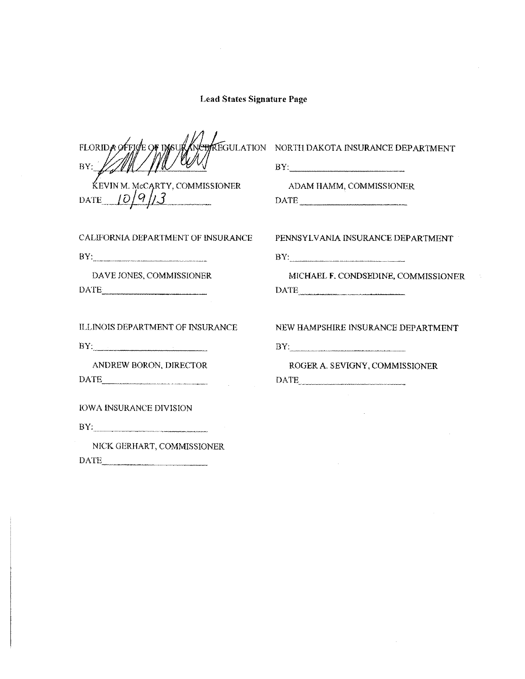FLORIDA REGULATION  $BY:$ 

Kevin m. mccarty, commissioner<br>te  $10/9$ /13

NORTH DAKOTA INSURANCE DEPARTMENT

 $BY:$ 

DATE .. *\_\_ LQ/\_C/jLl.* \_\_\_\_ \_ ADAM HAMM, COMMISSIONER DATE \_\_\_\_\_\_\_ ~

CALIFORNIA DEPARTMENT OF INSURANCE PENNSYLVANIA INSURANCE DEPARTMENT

 $\begin{tabular}{|c|c|c|c|} \hline \multicolumn{3}{|c|}{\textbf{DATE}} & \multicolumn{3}{|c|}{\textbf{DATE}} \\ \hline \multicolumn{3}{|c|}{\textbf{DATE}} & \multicolumn{3}{|c|}{\textbf{DATE}} \\ \hline \multicolumn{3}{|c|}{\textbf{DATE}} & \multicolumn{3}{|c|}{\textbf{DATE}} \\ \hline \multicolumn{3}{|c|}{\textbf{DATE}} & \multicolumn{3}{|c|}{\textbf{DATE}} \\ \hline \multicolumn{3}{|c|}{\textbf{DATE}} & \multicolumn{3}{|c|}{\textbf{DATE}}$ 

 $BY:$ 

DATE·----···-···----·

IOWA INSURANCE DIVISION

 $BY:$ 

NICK GERHART. COMMISSIONER DATE

 $BY: \begin{tabular}{cccccccccc} \multicolumn{3}{c}{\textbf{BY:}} & \multicolumn{3}{c}{\textbf{BY:}} & \multicolumn{3}{c}{\textbf{BY:}} & \multicolumn{3}{c}{\textbf{BY:}} & \multicolumn{3}{c}{\textbf{BY:}} & \multicolumn{3}{c}{\textbf{BY:}} & \multicolumn{3}{c}{\textbf{BY:}} & \multicolumn{3}{c}{\textbf{BY:}} & \multicolumn{3}{c}{\textbf{BY:}} & \multicolumn{3}{c}{\textbf{BY:}} & \multicolumn{3}{c}{\textbf{BY:}} & \multicolumn{3}{c}{\$ 

DA VE JONES, COMMISSIONER MICHAEL **F.** CONDSEDINE, COMMISSIONER DATE \_\_\_\_\_\_\_\_\_ \_

ILLINOIS DEPARTMENT OF INSURANCE NEW HAMPSHIRE INSURANCE DEPARTMENT

 $BY:$ 

ANDREW BORON, DIRECTOR ROGER A. SEVIGNY, COMMISSIONER DATE

 $\sim 10^{-1}$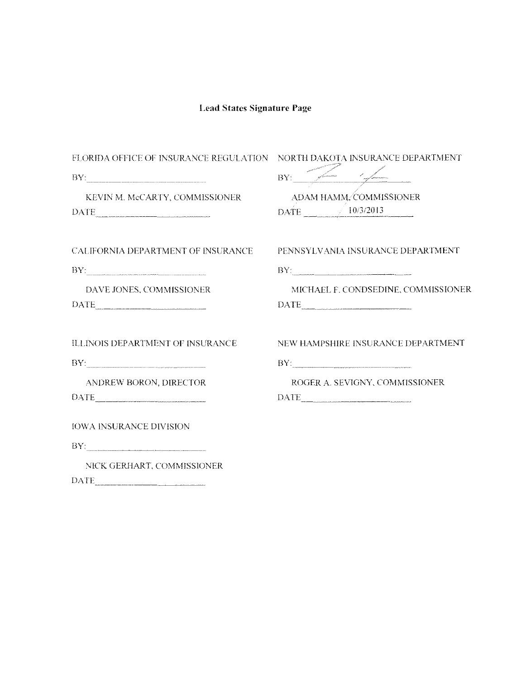| FLORIDA OFFICE OF INSURANCE REGULATION NORTH DAKOTA INSURANCE DEPARTMENT                                                                                                                                                                                                                                                                                                                                                                                                              |                                                                                                                                                                                                                                                                                                                                                                                                                                                                                                 |  |  |
|---------------------------------------------------------------------------------------------------------------------------------------------------------------------------------------------------------------------------------------------------------------------------------------------------------------------------------------------------------------------------------------------------------------------------------------------------------------------------------------|-------------------------------------------------------------------------------------------------------------------------------------------------------------------------------------------------------------------------------------------------------------------------------------------------------------------------------------------------------------------------------------------------------------------------------------------------------------------------------------------------|--|--|
| $\rm BY$ , $\sum_{n=1}^{\infty}$ , $\sum_{n=1}^{\infty}$                                                                                                                                                                                                                                                                                                                                                                                                                              |                                                                                                                                                                                                                                                                                                                                                                                                                                                                                                 |  |  |
| KEVIN M. McCARTY, COMMISSIONER<br>$\begin{tabular}{ c c c } \hline \textbf{DATE} & \textbf{0.00001} & \textbf{0.00001} \\ \hline \end{tabular}$                                                                                                                                                                                                                                                                                                                                       | ADAM HAMM. COMMISSIONER<br>$\text{DATE}$ $\bigcup$ 10/3/2013                                                                                                                                                                                                                                                                                                                                                                                                                                    |  |  |
| CALIFORNIA DEPARTMENT OF INSURANCE                                                                                                                                                                                                                                                                                                                                                                                                                                                    | PENNSYLVANIA INSURANCE DEPARTMENT                                                                                                                                                                                                                                                                                                                                                                                                                                                               |  |  |
| $\rm BY$                                                                                                                                                                                                                                                                                                                                                                                                                                                                              | BY:                                                                                                                                                                                                                                                                                                                                                                                                                                                                                             |  |  |
| DAVE JONES, COMMISSIONER                                                                                                                                                                                                                                                                                                                                                                                                                                                              | MICHAEL F. CONDSEDINE, COMMISSIONER<br>$\begin{tabular}{ c c c } \hline \multicolumn{3}{ c }{\textbf{DATE}} & \multicolumn{3}{ c }{\textbf{DATE}} \\ \hline \end{tabular}$                                                                                                                                                                                                                                                                                                                      |  |  |
| ILLINOIS DEPARTMENT OF INSURANCE                                                                                                                                                                                                                                                                                                                                                                                                                                                      | NEW HAMPSHIRE INSURANCE DEPARTMENT                                                                                                                                                                                                                                                                                                                                                                                                                                                              |  |  |
| $BY: \begin{tabular}{cccccc} \multicolumn{2}{c}{} & \multicolumn{2}{c}{} & \multicolumn{2}{c}{} & \multicolumn{2}{c}{} & \multicolumn{2}{c}{} \\ \multicolumn{2}{c}{} & \multicolumn{2}{c}{} & \multicolumn{2}{c}{} & \multicolumn{2}{c}{} & \multicolumn{2}{c}{} \\ \multicolumn{2}{c}{} & \multicolumn{2}{c}{} & \multicolumn{2}{c}{} & \multicolumn{2}{c}{} & \multicolumn{2}{c}{} \\ \multicolumn{2}{c}{} & \multicolumn{2}{c}{} & \multicolumn{2}{c}{} & \multicolumn{2}{c}{} &$ |                                                                                                                                                                                                                                                                                                                                                                                                                                                                                                 |  |  |
| ANDREW BORON, DIRECTOR<br>DATE                                                                                                                                                                                                                                                                                                                                                                                                                                                        | ROGER A. SEVIGNY, COMMISSIONER<br>$\begin{tabular}{ c c c c } \hline \multicolumn{3}{ c }{\textbf{DATE}} & \multicolumn{3}{ c }{\textbf{DATE}} \\ \hline \multicolumn{3}{ c }{\textbf{DATE}} & \multicolumn{3}{ c }{\textbf{DATE}} \\ \hline \multicolumn{3}{ c }{\textbf{DATE}} & \multicolumn{3}{ c }{\textbf{DATE}} \\ \hline \multicolumn{3}{ c }{\textbf{DATE}} & \multicolumn{3}{ c }{\textbf{DATE}} \\ \hline \multicolumn{3}{ c }{\textbf{DATE}} & \multicolumn{3}{ c }{\textbf{DATE}}$ |  |  |
| <b>IOWA INSURANCE DIVISION</b>                                                                                                                                                                                                                                                                                                                                                                                                                                                        |                                                                                                                                                                                                                                                                                                                                                                                                                                                                                                 |  |  |
| BY:                                                                                                                                                                                                                                                                                                                                                                                                                                                                                   |                                                                                                                                                                                                                                                                                                                                                                                                                                                                                                 |  |  |
| NICK GERHART, COMMISSIONER                                                                                                                                                                                                                                                                                                                                                                                                                                                            |                                                                                                                                                                                                                                                                                                                                                                                                                                                                                                 |  |  |

DATE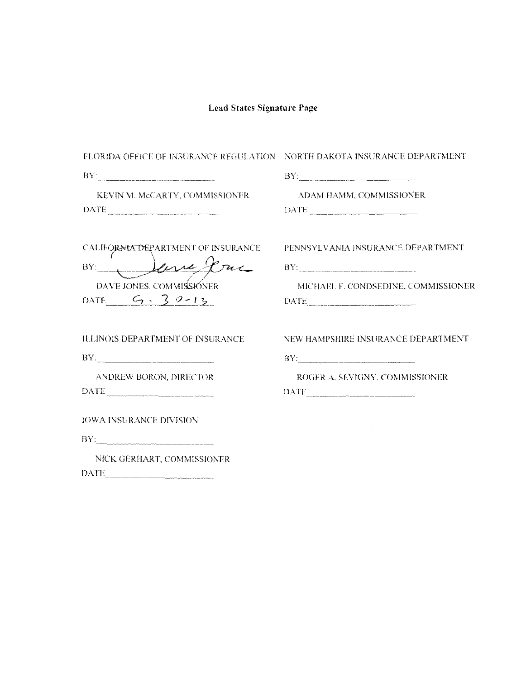| FLORIDA OFFICE OF INSURANCE REGULATION NORTH DAKOTA INSURANCE DEPARTMENT |                                                                                                                                                                                                                                                                                                                                                                                                                                                                                                                                  |  |  |
|--------------------------------------------------------------------------|----------------------------------------------------------------------------------------------------------------------------------------------------------------------------------------------------------------------------------------------------------------------------------------------------------------------------------------------------------------------------------------------------------------------------------------------------------------------------------------------------------------------------------|--|--|
| $\text{BY}_{\text{1}}$                                                   |                                                                                                                                                                                                                                                                                                                                                                                                                                                                                                                                  |  |  |
| KEVIN M. McCARTY, COMMISSIONER                                           | ADAM HAMM, COMMISSIONER                                                                                                                                                                                                                                                                                                                                                                                                                                                                                                          |  |  |
| $\text{DATE}$                                                            | $\begin{minipage}{.4\linewidth} \textbf{DATE} \end{minipage} \begin{minipage}{.4\linewidth} \textbf{DATE} \end{minipage} \begin{minipage}{.4\linewidth} \textbf{DATE} \end{minipage} \begin{minipage}{.4\linewidth} \textbf{DATE} \end{minipage} \begin{minipage}{.4\linewidth} \textbf{DATE} \end{minipage} \begin{minipage}{.4\linewidth} \textbf{DATE} \end{minipage} \begin{minipage}{.4\linewidth} \textbf{DATE} \end{minipage} \begin{minipage}{.4\linewidth} \textbf{DATE} \end{minipage} \begin{minipage}{.4\linewidth}$ |  |  |
| CALIFORNIA DEPARTMENT OF INSURANCE                                       | PENNSYLVANIA INSURANCE DEPARTMENT                                                                                                                                                                                                                                                                                                                                                                                                                                                                                                |  |  |
| BY: Jane Jane                                                            | $\mathbf{BY:}\label{eq:1}$                                                                                                                                                                                                                                                                                                                                                                                                                                                                                                       |  |  |
| DAVE JONES, COMMISSIONER                                                 | MICHAEL F. CONDSEDINE, COMMISSIONER                                                                                                                                                                                                                                                                                                                                                                                                                                                                                              |  |  |
| DATE $G - 39 - 13$                                                       | $\begin{minipage}{.4\linewidth} \textbf{DATE} \end{minipage} \vspace{-0.5mm}$                                                                                                                                                                                                                                                                                                                                                                                                                                                    |  |  |
| <b>ILLINOIS DEPARTMENT OF INSURANCE</b>                                  | NEW HAMPSHIRE INSURANCE DEPARTMENT                                                                                                                                                                                                                                                                                                                                                                                                                                                                                               |  |  |
|                                                                          | $BY:$                                                                                                                                                                                                                                                                                                                                                                                                                                                                                                                            |  |  |
| ANDREW BORON, DIRECTOR                                                   | ROGER A. SEVIGNY, COMMISSIONER                                                                                                                                                                                                                                                                                                                                                                                                                                                                                                   |  |  |
|                                                                          | $\begin{tabular}{ c c } \hline \text{DATE} & \text{\textcolor{blue}{\bf{}}.} & \text{\textcolor{blue}{\bf{}}.} \\ \hline \end{tabular}$                                                                                                                                                                                                                                                                                                                                                                                          |  |  |
| <b>IOWA INSURANCE DIVISION</b>                                           |                                                                                                                                                                                                                                                                                                                                                                                                                                                                                                                                  |  |  |
| NICK GERHART, COMMISSIONER                                               |                                                                                                                                                                                                                                                                                                                                                                                                                                                                                                                                  |  |  |

DATE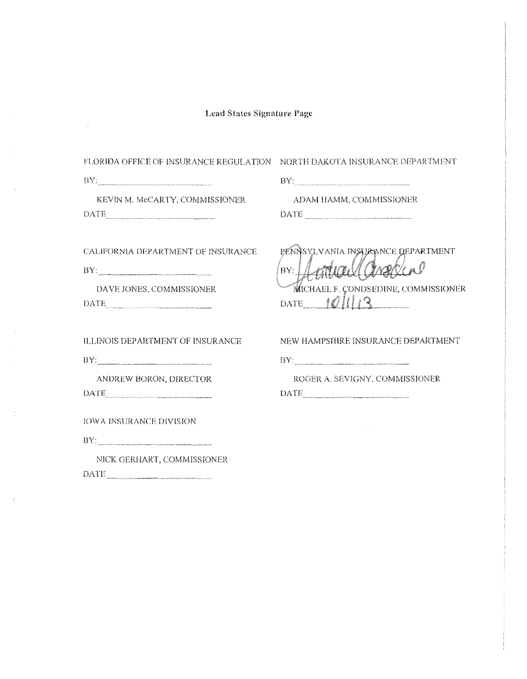$\hat{\boldsymbol{\beta}}$ 

 $\boldsymbol{\gamma}$ 

 $\langle \cdot \cdot \cdot \rangle$ 

 $\sim$ 

| FLORIDA OFFICE OF INSURANCE REGULATION .                                                                                                        | NORTH DAKOTA INSURANCE DEPARTMENT                                                                               |
|-------------------------------------------------------------------------------------------------------------------------------------------------|-----------------------------------------------------------------------------------------------------------------|
| $BY:$ . The contract of the comparative contract of the contract of the contract of the contract of the contract of $\mathcal{L}_{\mathcal{A}}$ |                                                                                                                 |
| KEVIN M. McCARTY, COMMISSIONER<br>$\text{DATE} \label{eq:1} \text{DATE}$                                                                        | ADAM HAMM, COMMISSIONER<br>DATE                                                                                 |
| CALIFORNIA DEPARTMENT OF INSURANCE                                                                                                              | PENNSYLVANIA INSURANCE DEPARTMENT<br>Wall Chradina<br>BY: M                                                     |
| DAVE JONES, COMMISSIONER<br>DATE                                                                                                                | MICHAEL F. CONDSEDINE, COMMISSIONER<br>DATE $\mathcal{O} \parallel \parallel 3$                                 |
| ILLINOIS DEPARTMENT OF INSURANCE                                                                                                                | NEW HAMPSHIRE INSURANCE DEPARTMENT                                                                              |
| BY:                                                                                                                                             | $\n  BY: \_$                                                                                                    |
| ANDREW BORON, DIRECTOR                                                                                                                          | ROGER A. SEVIGNY, COMMISSIONER<br>$\begin{minipage}{.4\linewidth} \textbf{DATE} \end{minipage} \vspace{-0.5mm}$ |
| <b>IOWA INSURANCE DIVISION</b>                                                                                                                  |                                                                                                                 |
|                                                                                                                                                 |                                                                                                                 |
| NICK GERHART, COMMISSIONER<br><b>DATE</b>                                                                                                       |                                                                                                                 |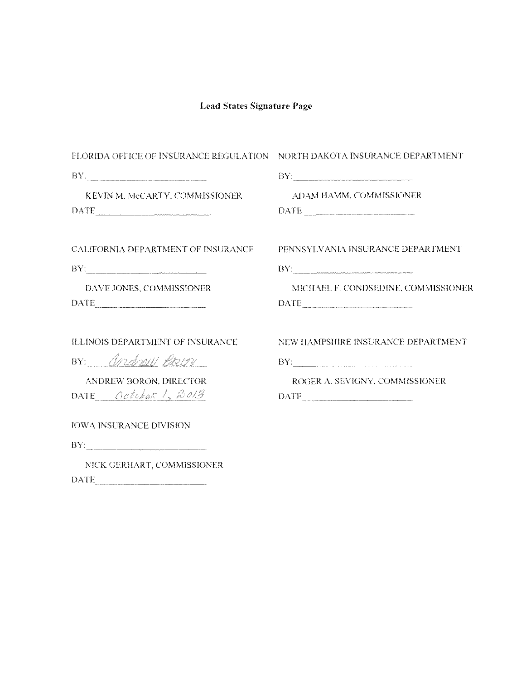| FLORIDA OFFICE OF INSURANCE REGULATION NORTH DAKOTA INSURANCE DEPARTMENT                                                                                              | BY:                                                                                                                                                                                                                                                                                                                                                                                                                                                                                                                                                                                   |  |  |
|-----------------------------------------------------------------------------------------------------------------------------------------------------------------------|---------------------------------------------------------------------------------------------------------------------------------------------------------------------------------------------------------------------------------------------------------------------------------------------------------------------------------------------------------------------------------------------------------------------------------------------------------------------------------------------------------------------------------------------------------------------------------------|--|--|
| BY:                                                                                                                                                                   |                                                                                                                                                                                                                                                                                                                                                                                                                                                                                                                                                                                       |  |  |
| KEVIN M. McCARTY, COMMISSIONER<br>$\begin{tabular}{ c c c } \hline \multicolumn{3}{ c }{\textbf{DATE}} & \multicolumn{3}{ c }{\textbf{DATE}} \\ \hline \end{tabular}$ | ADAM HAMM, COMMISSIONER<br>$\begin{minipage}{.4\linewidth} \textbf{DATE} \begin{minipage}{.4\linewidth} \label{eq:1} \end{minipage} \begin{minipage}{.4\linewidth} \begin{minipage}{.4\linewidth} \begin{minipage}{.4\linewidth} \begin{minipage}{.4\linewidth} \end{minipage} \end{minipage} \begin{minipage}{.4\linewidth} \begin{minipage}{.4\linewidth} \begin{minipage}{.4\linewidth} \end{minipage} \end{minipage} \begin{minipage}{.4\linewidth} \begin{minipage}{.4\linewidth} \begin{minipage}{.4\linewidth} \end{minipage} \end{minipage} \begin{minipage}{.4\linewidth} \$ |  |  |
| CALIFORNIA DEPARTMENT OF INSURANCE                                                                                                                                    | PENNSYLVANIA INSURANCE DEPARTMENT                                                                                                                                                                                                                                                                                                                                                                                                                                                                                                                                                     |  |  |
| BY:                                                                                                                                                                   | BY:                                                                                                                                                                                                                                                                                                                                                                                                                                                                                                                                                                                   |  |  |
| DAVE JONES, COMMISSIONER                                                                                                                                              | MICHAEL F. CONDSEDINE, COMMISSIONER<br>$\begin{tabular}{ c c c } \hline \textbf{DATE} & \textbf{\textcolor{blue}{\bf{0.0002}} & \textbf{\textcolor{blue}{\bf 0.0002}} \\ \hline \end{tabular}$                                                                                                                                                                                                                                                                                                                                                                                        |  |  |
| <b>ILLINOIS DEPARTMENT OF INSURANCE</b>                                                                                                                               | NEW HAMPSHIRE INSURANCE DEPARTMENT                                                                                                                                                                                                                                                                                                                                                                                                                                                                                                                                                    |  |  |
| BY: Andrew Born                                                                                                                                                       |                                                                                                                                                                                                                                                                                                                                                                                                                                                                                                                                                                                       |  |  |
| ANDREW BORON, DIRECTOR<br>DATE October 1, 2013                                                                                                                        | ROGER A. SEVIGNY, COMMISSIONER<br>$\begin{tabular}{c} DATE \end{tabular}$                                                                                                                                                                                                                                                                                                                                                                                                                                                                                                             |  |  |
| <b>IOWA INSURANCE DIVISION</b>                                                                                                                                        |                                                                                                                                                                                                                                                                                                                                                                                                                                                                                                                                                                                       |  |  |
|                                                                                                                                                                       |                                                                                                                                                                                                                                                                                                                                                                                                                                                                                                                                                                                       |  |  |
| NICK GERHART, COMMISSIONER                                                                                                                                            |                                                                                                                                                                                                                                                                                                                                                                                                                                                                                                                                                                                       |  |  |

 $\begin{tabular}{|c|c|} \hline \multicolumn{3}{|c|}{\text{DATE}} & \multicolumn{3}{|c|}{\text{DATE}} \\ \hline \end{tabular}$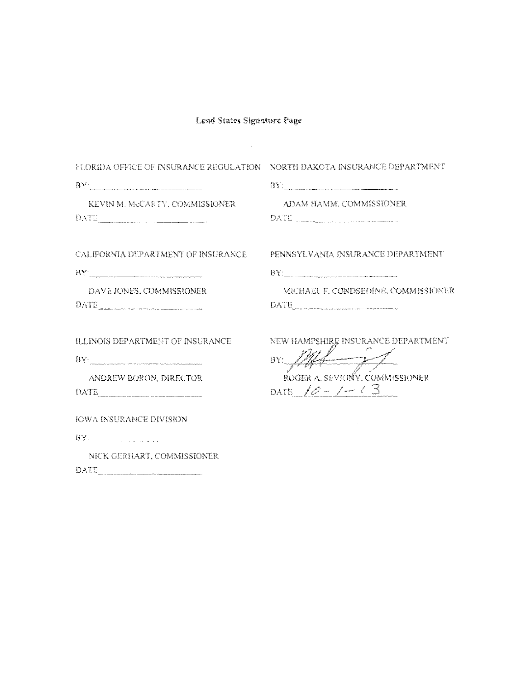$\mathcal{L}^{\text{max}}_{\text{max}}$ 

| FLORIDA OFFICE OF INSURANCE REGULATION NORTH DAKOTA INSURANCE DEPARTMENT<br>e de la produzione del componente del conservazione del componente del communicati del componente del communicati del communicati del communicati del communicati del communicati del communicati del communicati del communic<br>KEVIN M. McCARTY, COMMISSIONER<br>DATE                                    | ADAM HAMM, COMMISSIONER                                                                                        |
|-----------------------------------------------------------------------------------------------------------------------------------------------------------------------------------------------------------------------------------------------------------------------------------------------------------------------------------------------------------------------------------------|----------------------------------------------------------------------------------------------------------------|
| CALIFORNIA DEPARTMENT OF INSURANCE<br>DAVE JONES, COMMISSIONER                                                                                                                                                                                                                                                                                                                          | PENNSYLVANIA INSURANCE DEPARTMENT<br>${\rm BV}_{\!-}$<br>MICHAEL F. CONDSEDINE, COMMISSIONER                   |
| <b>ILLINOIS DEPARTMENT OF INSURANCE</b><br>$\mathbf{BV}_{\mathbb{Z}_{2m}^*}$ . The continuum continuum continuum continuum continuum continuum continuum continuum continuum continuum continuum continuum continuum continuum continuum continuum continuum continuum continuum cont<br>ANDREW BORON, DIRECTOR<br>DATE<br><b>IOWA INSURANCE DIVISION</b><br>NICK GERHART, COMMISSIONER | NEW HAMPSHIRE INSURANCE DEPARTMENT<br>$\mathcal{L}$<br>BY:<br>ROGER A. SEVIGNY, COMMISSIONER<br>DATE $10 - 10$ |

 $\sum_{i=1}^{\infty}\sum_{k=1}^{N_{\rm max}}$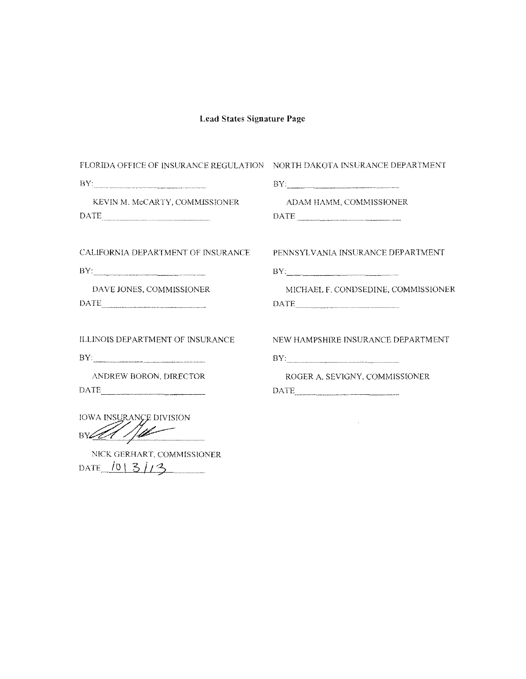| FLORIDA OFFICE OF INSURANCE REGULATION NORTH DAKOTA INSURANCE DEPARTMENT                                                                                                                                                                                                                                                                                                                                                                                                                                              |                                                                                                                                                                                                                                                                                                                                                                                                                                                                                                         |  |  |
|-----------------------------------------------------------------------------------------------------------------------------------------------------------------------------------------------------------------------------------------------------------------------------------------------------------------------------------------------------------------------------------------------------------------------------------------------------------------------------------------------------------------------|---------------------------------------------------------------------------------------------------------------------------------------------------------------------------------------------------------------------------------------------------------------------------------------------------------------------------------------------------------------------------------------------------------------------------------------------------------------------------------------------------------|--|--|
|                                                                                                                                                                                                                                                                                                                                                                                                                                                                                                                       |                                                                                                                                                                                                                                                                                                                                                                                                                                                                                                         |  |  |
| KEVIN M. McCARTY, COMMISSIONER                                                                                                                                                                                                                                                                                                                                                                                                                                                                                        | ADAM HAMM, COMMISSIONER<br>$\begin{tabular}{ c c c c } \hline \multicolumn{3}{ c }{\textbf{DATE}} & \multicolumn{3}{ c }{\textbf{DATE}} \\ \hline \multicolumn{3}{ c }{\textbf{DATE}} & \multicolumn{3}{ c }{\textbf{DATE}} \\ \hline \multicolumn{3}{ c }{\textbf{DATE}} & \multicolumn{3}{ c }{\textbf{DATE}} \\ \hline \multicolumn{3}{ c }{\textbf{DATE}} & \multicolumn{3}{ c }{\textbf{DATE}} \\ \hline \multicolumn{3}{ c }{\textbf{DATE}} & \multicolumn{3}{ c }{\textbf{DATE}}$                |  |  |
| <b>CALIFORNIA DEPARTMENT OF INSURANCE</b>                                                                                                                                                                                                                                                                                                                                                                                                                                                                             | PENNSYLVANIA INSURANCE DEPARTMENT                                                                                                                                                                                                                                                                                                                                                                                                                                                                       |  |  |
| BY:                                                                                                                                                                                                                                                                                                                                                                                                                                                                                                                   | BY:                                                                                                                                                                                                                                                                                                                                                                                                                                                                                                     |  |  |
| DAVE JONES, COMMISSIONER<br>$\begin{minipage}{.4\linewidth} \textbf{DATE} \end{minipage} \vspace{0.5cm} \begin{minipage}{.4cm} \begin{minipage}{.4cm} \begin{tabular}{lcccc} \textbf{DATE} \end{tabular} \end{minipage} \vspace{0.5cm} \begin{minipage}{.4cm} \begin{tabular}{lcccc} \textbf{DATE} \end{tabular} \end{minipage} \vspace{0.5cm} \begin{minipage}{.4cm} \begin{tabular}{lcccc} \textbf{DATE} \end{tabular} \end{minipage} \vspace{0.5cm} \begin{minipage}{.4cm} \begin{tabular}{lcccc} \textbf{DATE} \$ | MICHAEL F. CONDSEDINE, COMMISSIONER<br>$\begin{tabular}{ c c c } \hline \multicolumn{3}{ c }{\textbf{DATE}} & \multicolumn{3}{ c }{\textbf{DATE}} \\ \hline \multicolumn{3}{ c }{\textbf{DATE}} & \multicolumn{3}{ c }{\textbf{DATE}} \\ \hline \multicolumn{3}{ c }{\textbf{DATE}} & \multicolumn{3}{ c }{\textbf{DATE}} \\ \hline \multicolumn{3}{ c }{\textbf{DATE}} & \multicolumn{3}{ c }{\textbf{DATE}} \\ \hline \multicolumn{3}{ c }{\textbf{DATE}} & \multicolumn{3}{ c }{\textbf{DATE}} \\ \$ |  |  |
| ILLINOIS DEPARTMENT OF INSURANCE                                                                                                                                                                                                                                                                                                                                                                                                                                                                                      | NEW HAMPSHIRE INSURANCE DEPARTMENT                                                                                                                                                                                                                                                                                                                                                                                                                                                                      |  |  |
| BY:                                                                                                                                                                                                                                                                                                                                                                                                                                                                                                                   | BY:                                                                                                                                                                                                                                                                                                                                                                                                                                                                                                     |  |  |
| ANDREW BORON, DIRECTOR<br>$\begin{tabular}{c} DATE \end{tabular}$                                                                                                                                                                                                                                                                                                                                                                                                                                                     | ROGER A. SEVIGNY. COMMISSIONER<br>$\begin{minipage}{.4\linewidth} \textbf{DATE} \end{minipage} \vspace{-0.5mm}$                                                                                                                                                                                                                                                                                                                                                                                         |  |  |
| <b>IOWA INSURANCE DIVISION</b>                                                                                                                                                                                                                                                                                                                                                                                                                                                                                        |                                                                                                                                                                                                                                                                                                                                                                                                                                                                                                         |  |  |

NICK GERHART, COMMISSIONER DATE  $101313$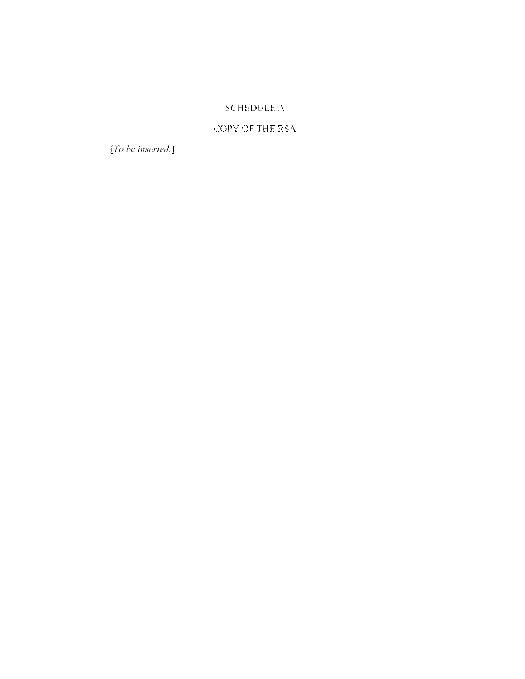### **SCHEDULE A**

### COPY OF THE RSA

 $[To be inserted.] \label{thm:1}$